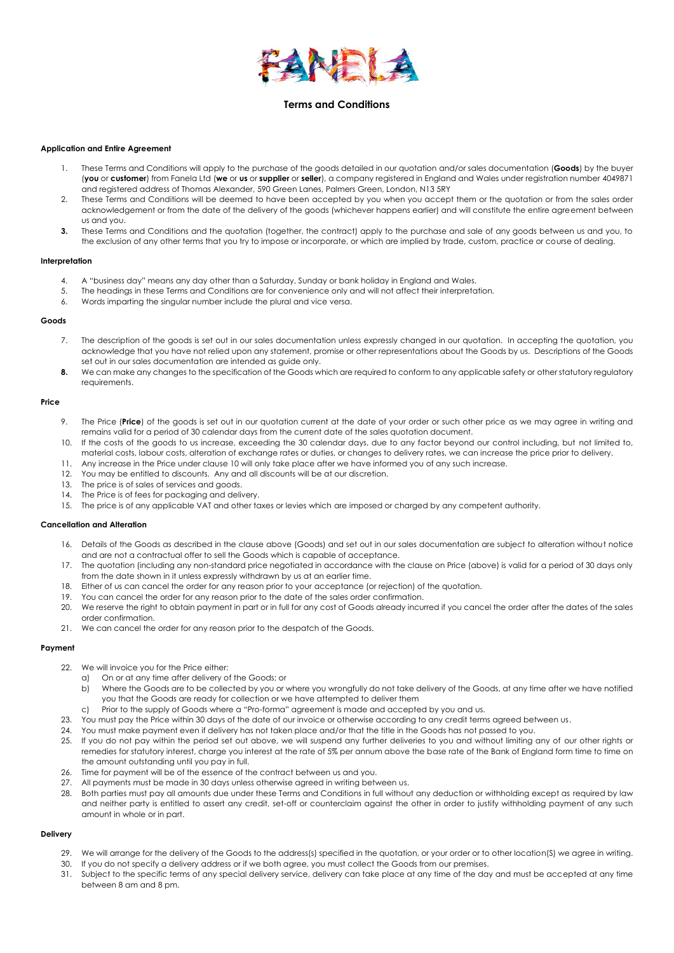

# **Terms and Conditions**

#### **Application and Entire Agreement**

- 1. These Terms and Conditions will apply to the purchase of the goods detailed in our quotation and/or sales documentation (**Goods**) by the buyer (**you** or **customer**) from Fanela Ltd (**we** or **us** or **supplier** or **seller**), a company registered in England and Wales under registration number 4049871 and registered address of Thomas Alexander, 590 Green Lanes, Palmers Green, London, N13 5RY
- 2. These Terms and Conditions will be deemed to have been accepted by you when you accept them or the quotation or from the sales order acknowledgement or from the date of the delivery of the goods (whichever happens earlier) and will constitute the entire agreement between us and you.
- **3.** These Terms and Conditions and the quotation (together, the contract) apply to the purchase and sale of any goods between us and you, to the exclusion of any other terms that you try to impose or incorporate, or which are implied by trade, custom, practice or course of dealing.

#### **Interpretation**

- 4. A "business day" means any day other than a Saturday, Sunday or bank holiday in England and Wales.
- 5. The headings in these Terms and Conditions are for convenience only and will not affect their interpretation.
- 6. Words imparting the singular number include the plural and vice versa.

### **Goods**

- 7. The description of the goods is set out in our sales documentation unless expressly changed in our quotation. In accepting the quotation, you acknowledge that you have not relied upon any statement, promise or other representations about the Goods by us. Descriptions of the Goods set out in our sales documentation are intended as quide only.
- **8.** We can make any changes to the specification of the Goods which are required to conform to any applicable safety or other statutory requlatory requirements.

#### **Price**

- 9. The Price (**Price**) of the goods is set out in our quotation current at the date of your order or such other price as we may agree in writing and remains valid for a period of 30 calendar days from the current date of the sales quotation document.
- 10. If the costs of the goods to us increase, exceeding the 30 calendar days, due to any factor beyond our control including, but not limited to, material costs, labour costs, alteration of exchange rates or duties, or changes to delivery rates, we can increase the price prior to delivery.
- 11. Any increase in the Price under clause 10 will only take place after we have informed you of any such increase.
- 12. You may be entitled to discounts. Any and all discounts will be at our discretion.
- 13. The price is of sales of services and goods.
- 14. The Price is of fees for packaging and delivery.
- 15. The price is of any applicable VAT and other taxes or levies which are imposed or charged by any competent authority.

# **Cancellation and Alteration**

- 16. Details of the Goods as described in the clause above (Goods) and set out in our sales documentation are subject to alteration without notice and are not a contractual offer to sell the Goods which is capable of acceptance.
- 17. The quotation (including any non-standard price negotiated in accordance with the clause on Price (above) is valid for a period of 30 days only from the date shown in it unless expressly withdrawn by us at an earlier time.
- 18. Either of us can cancel the order for any reason prior to your acceptance (or rejection) of the quotation.
- 19. You can cancel the order for any reason prior to the date of the sales order confirmation.
- 20. We reserve the right to obtain payment in part or in full for any cost of Goods already incurred if you cancel the order after the dates of the sales order confirmation.
- 21. We can cancel the order for any reason prior to the despatch of the Goods.

#### **Payment**

- 22. We will invoice you for the Price either:
	- a) On or at any time after delivery of the Goods; or
	- b) Where the Goods are to be collected by you or where you wrongfully do not take delivery of the Goods, at any time after we have notified you that the Goods are ready for collection or we have attempted to deliver them
	- c) Prior to the supply of Goods where a "Pro-forma" agreement is made and accepted by you and us.
- 23. You must pay the Price within 30 days of the date of our invoice or otherwise according to any credit terms agreed between us.
- 24. You must make payment even if delivery has not taken place and/or that the title in the Goods has not passed to you.
- 25. If you do not pay within the period set out above, we will suspend any further deliveries to you and without limiting any of our other rights or remedies for statutory interest, charge you interest at the rate of 5% per annum above the base rate of the Bank of England form time to time on the amount outstanding until you pay in full.
- 26. Time for payment will be of the essence of the contract between us and you.
- 27. All payments must be made in 30 days unless otherwise agreed in writing between us.
- 28. Both parties must pay all amounts due under these Terms and Conditions in full without any deduction or withholding except as required by law and neither party is entitled to assert any credit, set-off or counterclaim against the other in order to justify withholding payment of any such amount in whole or in part.

### **Delivery**

- 29. We will arrange for the delivery of the Goods to the address(s) specified in the quotation, or your order or to other location(S) we agree in writing.
- 30. If you do not specify a delivery address or if we both agree, you must collect the Goods from our premises.
- 31. Subject to the specific terms of any special delivery service, delivery can take place at any time of the day and must be accepted at any time between 8 am and 8 pm.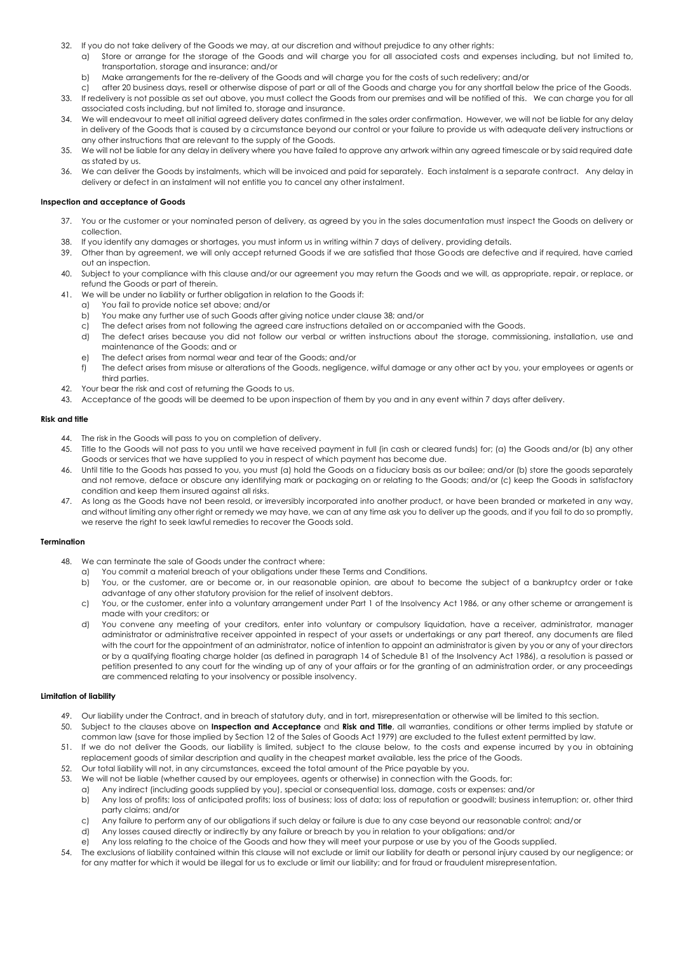- 32. If you do not take delivery of the Goods we may, at our discretion and without prejudice to any other rights:
	- a) Store or arrange for the storage of the Goods and will charge you for all associated costs and expenses including, but not limited to, transportation, storage and insurance; and/or
	- b) Make arrangements for the re-delivery of the Goods and will charge you for the costs of such redelivery; and/or
- c) after 20 business days, resell or otherwise dispose of part or all of the Goods and charge you for any shortfall below the price of the Goods. 33. If redelivery is not possible as set out above, you must collect the Goods from our premises and will be notified of this. We can charge you for all associated costs including, but not limited to, storage and insurance.
- 34. We will endeavour to meet all initial agreed delivery dates confirmed in the sales order confirmation. However, we will not be liable for any delay in delivery of the Goods that is caused by a circumstance beyond our control or your failure to provide us with adequate delivery instructions or any other instructions that are relevant to the supply of the Goods.
- 35. We will not be liable for any delay in delivery where you have failed to approve any artwork within any agreed timescale or by said required date as stated by us.
- 36. We can deliver the Goods by instalments, which will be invoiced and paid for separately. Each instalment is a separate contract. Any delay in delivery or defect in an instalment will not entitle you to cancel any other instalment.

# **Inspection and acceptance of Goods**

- 37. You or the customer or your nominated person of delivery, as agreed by you in the sales documentation must inspect the Goods on delivery or collection.
- 38. If you identify any damages or shortages, you must inform us in writing within 7 days of delivery, providing details.
- 39. Other than by agreement, we will only accept returned Goods if we are satisfied that those Goods are defective and if required, have carried out an inspection.
- 40. Subject to your compliance with this clause and/or our agreement you may return the Goods and we will, as appropriate, repair, or replace, or refund the Goods or part of therein.
- 41. We will be under no liability or further obligation in relation to the Goods if:
	- a) You fail to provide notice set above; and/or
	- b) You make any further use of such Goods after giving notice under clause 38; and/or
	- c) The defect arises from not following the agreed care instructions detailed on or accompanied with the Goods.
	- d) The defect arises because you did not follow our verbal or written instructions about the storage, commissioning, installation, use and maintenance of the Goods; and or
	- e) The defect arises from normal wear and tear of the Goods; and/or
	- f) The defect arises from misuse or alterations of the Goods, negligence, wilful damage or any other act by you, your employees or agents or third parties.
- 42. Your bear the risk and cost of returning the Goods to us.
- 43. Acceptance of the goods will be deemed to be upon inspection of them by you and in any event within 7 days after delivery.

#### **Risk and title**

- 44. The risk in the Goods will pass to you on completion of delivery.
- 45. Title to the Goods will not pass to you until we have received payment in full (in cash or cleared funds) for; (a) the Goods and/or (b) any other Goods or services that we have supplied to you in respect of which payment has become due.
- 46. Until title to the Goods has passed to you, you must (a) hold the Goods on a fiduciary basis as our bailee; and/or (b) store the goods separately and not remove, deface or obscure any identifying mark or packaging on or relating to the Goods; and/or (c) keep the Goods in satisfactory condition and keep them insured against all risks.
- 47. As long as the Goods have not been resold, or irreversibly incorporated into another product, or have been branded or marketed in any way, and without limiting any other right or remedy we may have, we can at any time ask you to deliver up the goods, and if you fail to do so promptly, we reserve the right to seek lawful remedies to recover the Goods sold.

### **Termination**

- 48. We can terminate the sale of Goods under the contract where:
	- a) You commit a material breach of your obligations under these Terms and Conditions.
	- b) You, or the customer, are or become or, in our reasonable opinion, are about to become the subject of a bankruptcy order or take advantage of any other statutory provision for the relief of insolvent debtors.
	- c) You, or the customer, enter into a voluntary arrangement under Part 1 of the Insolvency Act 1986, or any other scheme or arrangement is made with your creditors; or
	- d) You convene any meeting of your creditors, enter into voluntary or compulsory liquidation, have a receiver, administrator, manager administrator or administrative receiver appointed in respect of your assets or undertakings or any part thereof, any documents are filed with the court for the appointment of an administrator, notice of intention to appoint an administrator is given by you or any of your directors or by a qualifying floating charge holder (as defined in paragraph 14 of Schedule B1 of the Insolvency Act 1986), a resolution is passed or petition presented to any court for the winding up of any of your affairs or for the granting of an administration order, or any proceedings are commenced relating to your insolvency or possible insolvency.

# **Limitation of liability**

- 49. Our liability under the Contract, and in breach of statutory duty, and in tort, misrepresentation or otherwise will be limited to this section.
- 50. Subject to the clauses above on **Inspection and Acceptance** and **Risk and Title**, all warranties, conditions or other terms implied by statute or
- common law (save for those implied by Section 12 of the Sales of Goods Act 1979) are excluded to the fullest extent permitted by law. 51. If we do not deliver the Goods, our liability is limited, subject to the clause below, to the costs and expense incurred by you in obtaining
- replacement goods of similar description and quality in the cheapest market available, less the price of the Goods. 52. Our total liability will not, in any circumstances, exceed the total amount of the Price payable by you.
- 53. We will not be liable (whether caused by our employees, agents or otherwise) in connection with the Goods, for:
	- a) Any indirect (including goods supplied by you), special or consequential loss, damage, costs or expenses: and/or
		- b) Any loss of profits; loss of anticipated profits; loss of business; loss of data; loss of reputation or goodwill; business interruption; or, other third party claims; and/or
		- c) Any failure to perform any of our obligations if such delay or failure is due to any case beyond our reasonable control; and/or
		- d) Any losses caused directly or indirectly by any failure or breach by you in relation to your obligations; and/or
		- e) Any loss relating to the choice of the Goods and how they will meet your purpose or use by you of the Goods supplied.
- 54. The exclusions of liability contained within this clause will not exclude or limit our liability for death or personal injury caused by our negligence; or for any matter for which it would be illegal for us to exclude or limit our liability; and for fraud or fraudulent misrepresentation.